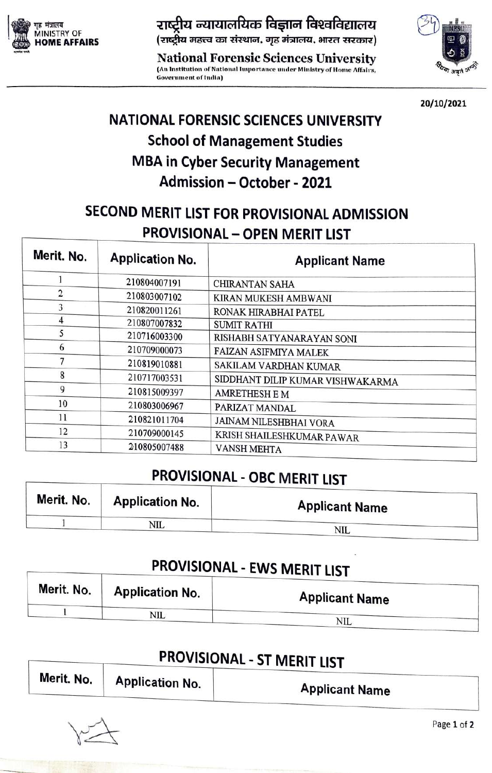

MINISTRY NESU OF

National Forensie Sciences University <sup>3</sup> (An Institution of National Importance under Ministry of Home Affairs, Government of India)



20/10/2021

# NATIONAL FORENSIC SCIENCES UNIVERSITY School of Management Studies MBA in Cyber Security Management Admission-October-2021

#### SECOND MERIT LIST FOR PROVISIONAL ADMISSION PROVISIONAL - OPEN MERIT LIST

| Merit. No. | <b>Application No.</b> | <b>Applicant Name</b>            |
|------------|------------------------|----------------------------------|
|            | 210804007191           | <b>CHIRANTAN SAHA</b>            |
| 2          | 210803007102           | KIRAN MUKESH AMBWANI             |
| 3          | 210820011261           | RONAK HIRABHAI PATEL             |
| 4          | 210807007832           | <b>SUMIT RATHI</b>               |
| 5          | 210716003300           | RISHABH SATYANARAYAN SONI        |
| 6          | 210709000073           | FAIZAN ASIFMIYA MALEK            |
| 7          | 210819010881           | SAKILAM VARDHAN KUMAR            |
| 8          | 210717003531           | SIDDHANT DILIP KUMAR VISHWAKARMA |
| 9          | 210815009397           | <b>AMRETHESH E M</b>             |
| 10         | 210803006967           | PARIZAT MANDAL                   |
| 11         | 210821011704           | JAINAM NILESHBHAI VORA           |
| 12         | 210709000145           | KRISH SHAILESHKUMAR PAWAR        |
| 13         | 210805007488           | <b>VANSH MEHTA</b>               |

### PROVISIONAL - OBC MERIT LIST

| Merit. No. | <b>Application No.</b> | <b>Applicant Name</b> |
|------------|------------------------|-----------------------|
|            | <b>NIL</b>             | NIL                   |

# PROVISIONAL - EWS MERIT LIST

| Merit. No. | <b>Application No.</b> | <b>Applicant Name</b> |  |
|------------|------------------------|-----------------------|--|
|            | NIL                    | <b>NIL</b>            |  |

## PROVISIONAL - ST MERIT LIST

| Merit. No. | <b>Application No.</b> | <b>Applicant Name</b> |
|------------|------------------------|-----------------------|
|            |                        |                       |

Page 1 of 2